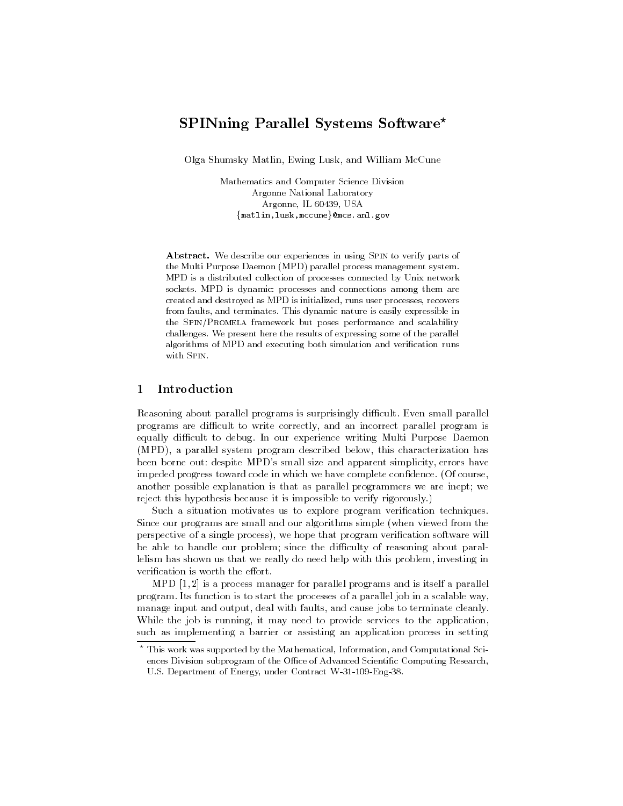# SPINning Parallel Systems Software?

Olga Shumsky Matlin, Ewing Lusk, and William McCune

Mathematics and Computer Science Division Argonne National Laboratory Argonne, IL 60439, USA {matlin,lusk,mccune}@mcs.anl.gov

Abstract. We describe our experiences in using Spin to verify parts of the Multi Purpose Daemon (MPD) parallel process management system. MPD is a distributed collection of processes connected by Unix network sockets. MPD is dynamic: processes and connections among them are created and destroyed as MPD is initialized, runs user processes, recovers from faults, and terminates. This dynamic nature is easily expressible in the Spin/Promela framework but poses performance and scalability challenges. We present here the results of expressing some of the parallel algorithms of MPD and executing both simulation and verification runs with Spin.

# 1 Introduction

Reasoning about parallel programs is surprisingly difficult. Even small parallel programs are difficult to write correctly, and an incorrect parallel program is equally difficult to debug. In our experience writing Multi Purpose Daemon (MPD), a parallel system program described below, this characterization has been borne out: despite MPD's small size and apparent simplicity, errors have impeded progress toward code in which we have complete condence. (Of course, another possible explanation is that as parallel programmers we are inept; we reject this hypothesis because it is impossible to verify rigorously.)

Such a situation motivates us to explore program verification techniques. Since our programs are small and our algorithms simple (when viewed from the perspective of a single process), we hope that program verication software will be able to handle our problem; since the difficulty of reasoning about parallelism has shown us that we really do need help with this problem, investing in verification is worth the effort.

MPD [1, 2] is a process manager for parallel programs and is itself a parallel program. Its function is to start the processes of a parallel job in a scalable way, manage input and output, deal with faults, and cause jobs to terminate cleanly. While the job is running, it may need to provide services to the application, such as implementing a barrier or assisting an application process in setting

<sup>?</sup> This work was supported by the Mathematical, Information, and Computational Sciences Division subprogram of the Office of Advanced Scientific Computing Research, U.S. Department of Energy, under Contract W-31-109-Eng-38.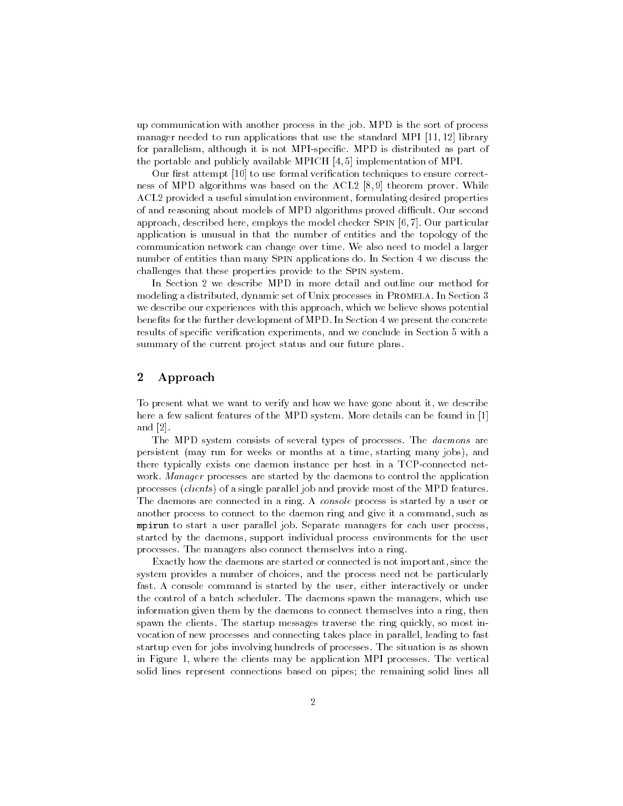up communication with another process in the job. MPD is the sort of process manager needed to run applications that use the standard MPI [11, 12] library for parallelism, although it is not MPI-specic. MPD is distributed as part of the portable and publicly available MPICH [4, 5] implementation of MPI.

Our first attempt [10] to use formal verification techniques to ensure correctness of MPD algorithms was based on the ACL2 [8, 9] theorem prover. While ACL2 provided a useful simulation environment, formulating desired properties of and reasoning about models of MPD algorithms proved difficult. Our second approach, described here, employs the model checker Spin [6, 7]. Our particular application is unusual in that the number of entities and the topology of the communication network can change over time. We also need to model a larger number of entities than many Spin applications do. In Section 4 we discuss the challenges that these properties provide to the Spin system.

In Section 2 we describe MPD in more detail and outline our method for modeling a distributed, dynamic set of Unix processes in PROMELA. In Section 3 we describe our experiences with this approach, which we believe shows potential benefits for the further development of MPD. In Section 4 we present the concrete results of specific verification experiments, and we conclude in Section 5 with a summary of the current project status and our future plans.

#### $\overline{2}$ Approach

To present what we want to verify and how we have gone about it, we describe here a few salient features of the MPD system. More details can be found in [1] and [2].

The MPD system consists of several types of processes. The daemons are persistent (may run for weeks or months at a time, starting many jobs), and there typically exists one daemon instance per host in a TCP-connected net work. Manager processes are started by the daemons to control the application processes (clients ) of a single parallel job and provide most of the MPD features. The daemons are connected in a ring. A console process is started by a user or another process to connect to the daemon ring and give it a command, such as mpirun to start a user parallel job. Separate managers for each user process, started by the daemons, support individual process environments for the user processes. The managers also connect themselves into a ring.

Exactly how the daemons are started or connected is not important, since the system provides a number of choices, and the process need not be particularly fast. A console command is started by the user, either interactively or under the control of a batch scheduler. The daemons spawn the managers, which use information given them by the daemons to connect themselves into a ring, then spawn the clients. The startup messages traverse the ring quickly, so most invocation of new processes and connecting takes place in parallel, leading to fast startup even for jobs involving hundreds of processes. The situation is as shown in Figure 1, where the clients may be application MPI processes. The vertical solid lines represent connections based on pipes; the remaining solid lines all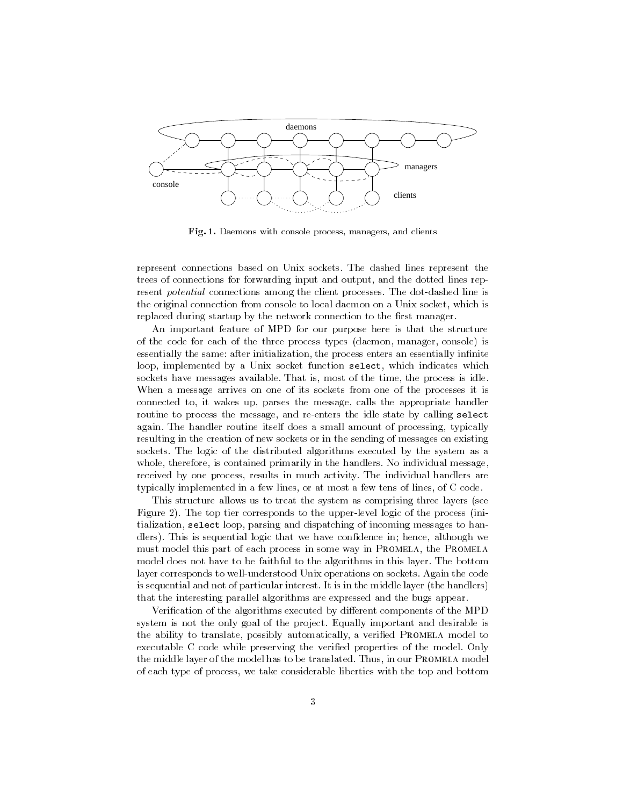

Fig. 1. Daemons with console process, managers, and clients

represent connections based on Unix sockets. The dashed lines represent the trees of connections for forwarding input and output, and the dotted lines represent potential connections among the client processes. The dot-dashed line is the original connection from console to local daemon on a Unix socket, which is replaced during startup by the network connection to the first manager.

An important feature of MPD for our purpose here is that the structure of the code for each of the three process types (daemon, manager, console) is essentially the same: after initialization, the process enters an essentially infinite loop, implemented by a Unix socket function select, which indicates which sockets have messages available. That is, most of the time, the process is idle. When a message arrives on one of its sockets from one of the processes it is connected to, it wakes up, parses the message, calls the appropriate handler routine to process the message, and re-enters the idle state by calling select again. The handler routine itself does a small amount of processing, typically resulting in the creation of new sockets or in the sending of messages on existing sockets. The logic of the distributed algorithms executed by the system as a whole, therefore, is contained primarily in the handlers. No individual message, received by one process, results in much activity. The individual handlers are typically implemented in a few lines, or at most a few tens of lines, of C code.

This structure allows us to treat the system as comprising three layers (see Figure 2). The top tier corresponds to the upper-level logic of the process (initialization, select loop, parsing and dispatching of incoming messages to handlers). This is sequential logic that we have condence in; hence, although we must model this part of each process in some way in PROMELA, the PROMELA model does not have to be faithful to the algorithms in this layer. The bottom layer corresponds to well-understood Unix operations on sockets. Again the code is sequential and not of particular interest. It is in the middle layer (the handlers) that the interesting parallel algorithms are expressed and the bugs appear.

Verification of the algorithms executed by different components of the MPD system is not the only goal of the project. Equally important and desirable is the ability to translate, possibly automatically, a verified PROMELA model to executable C code while preserving the verified properties of the model. Only the middle layer of the model has to be translated. Thus, in our PROMELA model of each type of process, we take considerable liberties with the top and bottom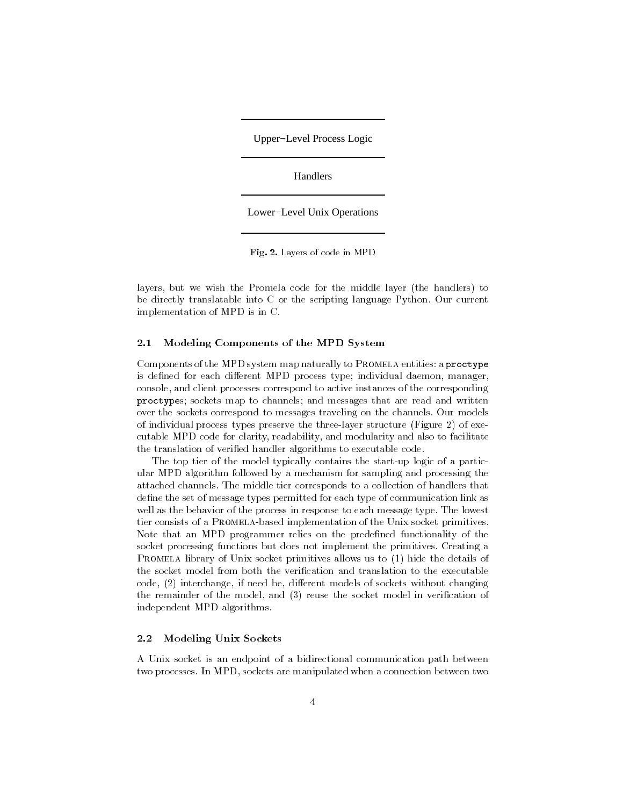Upper−Level Process Logic

Handlers

Lower−Level Unix Operations

Fig. 2. Layers of code in MPD

layers, but we wish the Promela code for the middle layer (the handlers) to be directly translatable into C or the scripting language Python. Our current implementation of MPD is in C.

### 2.1 Modeling Components of the MPD System

Components of the MPD system map naturally to PROMELA entities: a proctype is defined for each different MPD process type; individual daemon, manager, console, and client processes correspond to active instances of the corresponding proctypes; sockets map to channels; and messages that are read and written over the sockets correspond to messages traveling on the channels. Our models of individual process types preserve the three-layer structure (Figure 2) of executable MPD code for clarity, readability, and modularity and also to facilitate the translation of veried handler algorithms to executable code.

The top tier of the model typically contains the start-up logic of a particular MPD algorithm followed by a mechanism for sampling and processing the attached channels. The middle tier corresponds to a collection of handlers that define the set of message types permitted for each type of communication link as well as the behavior of the process in response to each message type. The lowest tier consists of a Promela-based implementation of the Unix socket primitives. Note that an MPD programmer relies on the predefined functionality of the socket processing functions but does not implement the primitives. Creating a PROMELA library of Unix socket primitives allows us to (1) hide the details of the socket model from both the verification and translation to the executable  $code, (2)$  interchange, if need be, different models of sockets without changing the remainder of the model, and (3) reuse the socket model in verication of independent MPD algorithms.

# 2.2 Modeling Unix Sockets

A Unix socket is an endpoint of a bidirectional communication path between two processes. In MPD, sockets are manipulated when a connection between two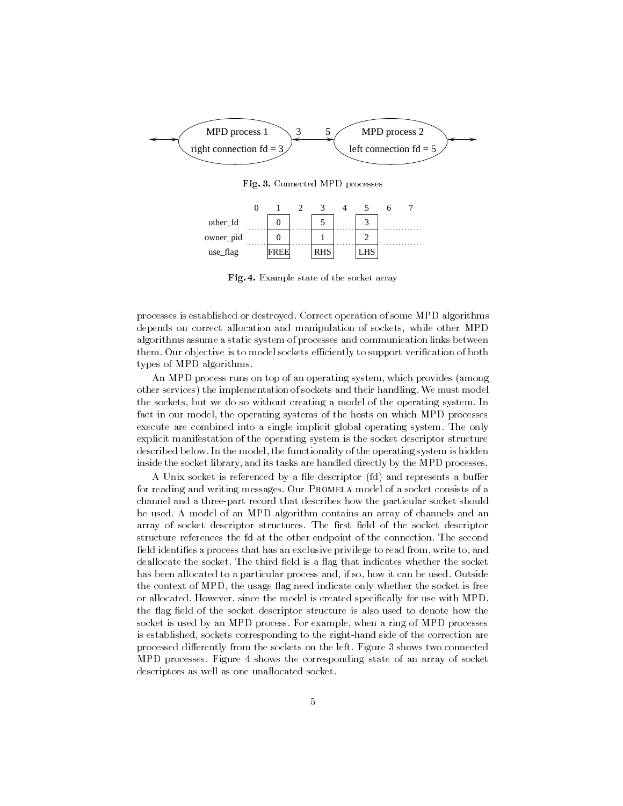

Fig. 3. Connected MPD processes



Fig. 4. Example state of the socket array

processes is established or destroyed. Correct operation of some MPD algorithms depends on correct allocation and manipulation of sockets, while other MPD algorithms assume a static system of processes and communication links between them. Our objective is to model sockets efficiently to support verification of both types of MPD algorithms.

An MPD process runs on top of an operating system, which provides (among other services) the implementation of sockets and their handling. We must model the sockets, but we do so without creating a model of the operating system. In fact in our model, the operating systems of the hosts on which MPD processes execute are combined into a single implicit global operating system. The only explicit manifestation of the operating system is the socket descriptor structure described below. In the model, the functionality of the operating system is hidden inside the socket library, and its tasks are handled directly by the MPD processes.

A Unix socket is referenced by a file descriptor (fd) and represents a buffer for reading and writing messages. Our PROMELA model of a socket consists of a channel and a three-part record that describes how the particular socket should be used. A model of an MPD algorithm contains an array of channels and an array of socket descriptor structures. The first field of the socket descriptor structure references the fd at the other endpoint of the connection. The second field identifies a process that has an exclusive privilege to read from, write to, and deallocate the socket. The third field is a flag that indicates whether the socket has been allocated to a particular process and, if so, how it can be used. Outside the context of MPD, the usage flag need indicate only whether the socket is free or allocated. However, since the model is created specically for use with MPD, the flag field of the socket descriptor structure is also used to denote how the socket is used by an MPD process. For example, when a ring of MPD processes is established, sockets corresponding to the right-hand side of the correction are processed differently from the sockets on the left. Figure 3 shows two connected MPD processes. Figure 4 shows the corresponding state of an array of socket descriptors as well as one unallocated socket.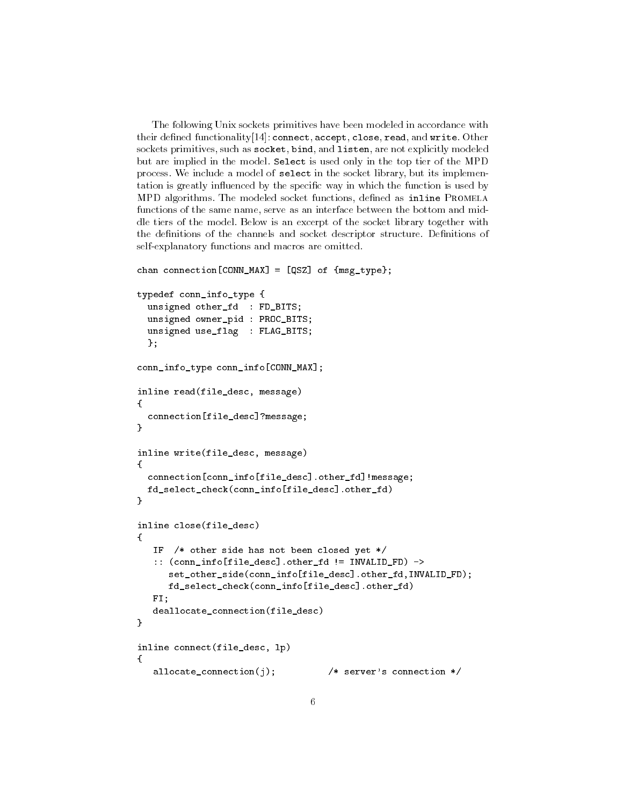The following Unix sockets primitives have been modeled in accordance with their defined functionality  $[14]$ : connect, accept, close, read, and write. Other sockets primitives, such as socket, bind, and listen, are not explicitly modeled but are implied in the model. Select is used only in the top tier of the MPD process. We include a model of select in the socket library, but its implementation is greatly influenced by the specific way in which the function is used by MPD algorithms. The modeled socket functions, defined as inline PROMELA functions of the same name, serve as an interface between the bottom and middle tiers of the model. Below is an excerpt of the socket library together with the definitions of the channels and socket descriptor structure. Definitions of self-explanatory functions and macros are omitted.

```
chan connection[CONN_MAX] = [QSZ] of {msg\_type};typedef conn_info_type {
  unsigned other_fd : FD_BITS;
  unsigned owner_pid : PROC_BITS;
 unsigned use_flag : FLAG_BITS;
  };
conn_info_type conn_info[CONN_MAX];
inline read(file_desc, message)
Ŧ.
{\bf r} and {\bf r}connection[file_desc]?message;
\mathcal{L}}
inline write(file_desc, message)
Ŧ
\sim \sim \simconnection[conn_info[file_desc].other_fd]!message;
 fd_select_check(conn_info[file_desc].other_fd)
\mathcal{L}}
inline close(file_desc)
{
   IF /* other side has not been closed yet */
   :: (conn_info[file_desc].other_fd != INVALID_FD) ->
      set_other_side(conn_info[file_desc].other_fd,INVALID_FD);
      fd_select_check(conn_info[file_desc].other_fd)
  FI;
   deallocate_connection(file_desc)
}
inline connect(file_desc, lp)
{
   allocate_connection(j); /* server's connection */
```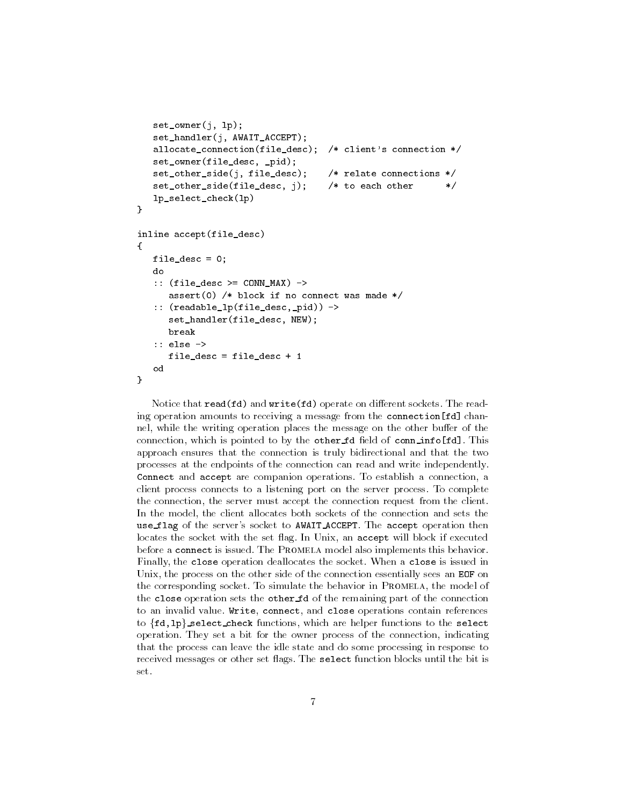```
set_owner(j, lp);
   set_handler(j, AWAIT_ACCEPT);
   allocate_connection(file_desc); /* client's connection */
   set_owner(file_desc, _pid);
   set_other_side(j, file_desc); /* relate connections */
   set_other_side(file_desc, j); /* to each other */
   lp_select_check(lp)
\mathbf{L}}
inline accept(file_desc)
\mathbf{f}{
  file_desc = 0;
  do
   :: (file_desc >= CONN_MAX) ->
      assert(0) /* block if no connect was made */:: (readable_lp(file_desc,_pid)) ->
      set_handler(file_desc, NEW);
     break
   :: else ->
      file_desc = file_desc + 1
   o d
\mathcal{L}}
```
Notice that  $read(fd)$  and  $write(fd)$  operate on different sockets. The reading operation amounts to receiving a message from the connection[fd] channel, while the writing operation places the message on the other buffer of the connection, which is pointed to by the other  $fd$  field of conninfo $[fd]$ . This approach ensures that the connection is truly bidirectional and that the two processes at the endpoints of the connection can read and write independently. Connect and accept are companion operations. To establish a connection, a client process connects to a listening port on the server process. To complete the connection, the server must accept the connection request from the client. In the model, the client allocates both sockets of the connection and sets the use flag of the server's socket to AWAIT ACCEPT. The accept operation then locates the socket with the set flag. In Unix, an accept will block if executed before a connect is issued. The Promela model also implements this behavior. Finally, the close operation deallocates the socket. When a close is issued in Unix, the process on the other side of the connection essentially sees an EOF on the corresponding socket. To simulate the behavior in PROMELA, the model of the close operation sets the other fd of the remaining part of the connection to an invalid value. Write, connect, and close operations contain references to  $\{fd,1p\}$  select check functions, which are helper functions to the select operation. They set a bit for the owner process of the connection, indicating that the process can leave the idle state and do some processing in response to received messages or other set flags. The select function blocks until the bit is set.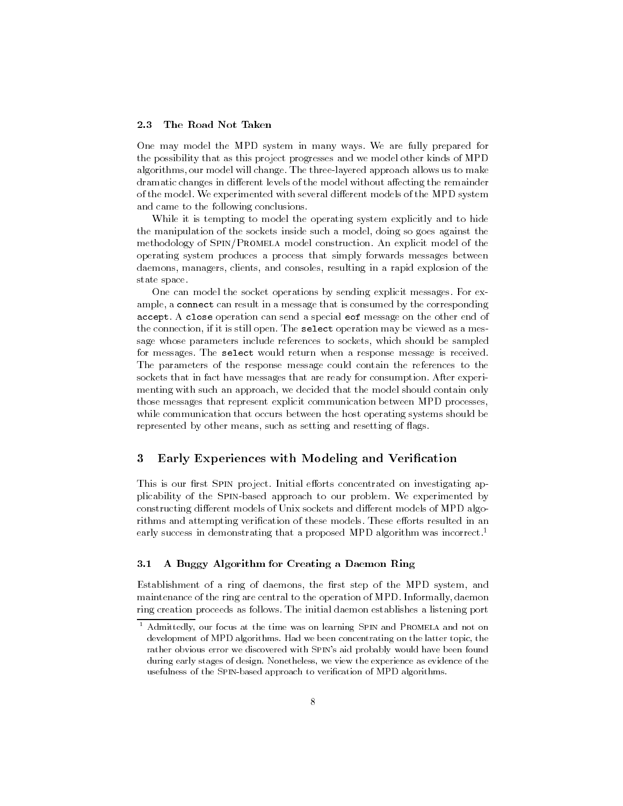#### 2.3 The Road Not Taken

One may model the MPD system in many ways. We are fully prepared for the possibility that as this project progresses and we model other kinds of MPD algorithms, our model will change. The three-layered approach allows us to make dramatic changes in different levels of the model without affecting the remainder of the model. We experimented with several different models of the MPD system and came to the following conclusions.

While it is tempting to model the operating system explicitly and to hide the manipulation of the sockets inside such a model, doing so goes against the methodology of Spin/Promela model construction. An explicit model of the operating system produces a process that simply forwards messages between daemons, managers, clients, and consoles, resulting in a rapid explosion of the state space.

One can model the socket operations by sending explicit messages. For example, a connect can result in a message that is consumed by the corresponding accept. A close operation can send a special eof message on the other end of the connection, if it is still open. The select operation may be viewed as a message whose parameters include references to sockets, which should be sampled for messages. The select would return when a response message is received. The parameters of the response message could contain the references to the sockets that in fact have messages that are ready for consumption. After experi menting with such an approach, we decided that the model should contain only those messages that represent explicit communication between MPD processes, while communication that occurs between the host operating systems should be represented by other means, such as setting and resetting of flags.

# 3 Early Experiences with Modeling and Verification

This is our first SPIN project. Initial efforts concentrated on investigating applicability of the Spin-based approach to our problem. We experimented by constructing different models of Unix sockets and different models of MPD algorithms and attempting verification of these models. These efforts resulted in an early success in demonstrating that a proposed MPD algorithm was incorrect.<sup>1</sup>

# 3.1 A Buggy Algorithm for Creating a Daemon Ring

Establishment of a ring of daemons, the first step of the MPD system, and maintenance of the ring are central to the operation of MPD. Informally, daemon ring creation proceeds as follows. The initial daemon establishes a listening port

<sup>1</sup> Admittedly, our focus at the time was on learning Spin and Promela and not on development of MPD algorithms. Had we been concentrating on the latter topic, the rather obvious error we discovered with Spin's aid probably would have been found during early stages of design. Nonetheless, we view the experience as evidence of the usefulness of the Spin-based approach to verication of MPD algorithms.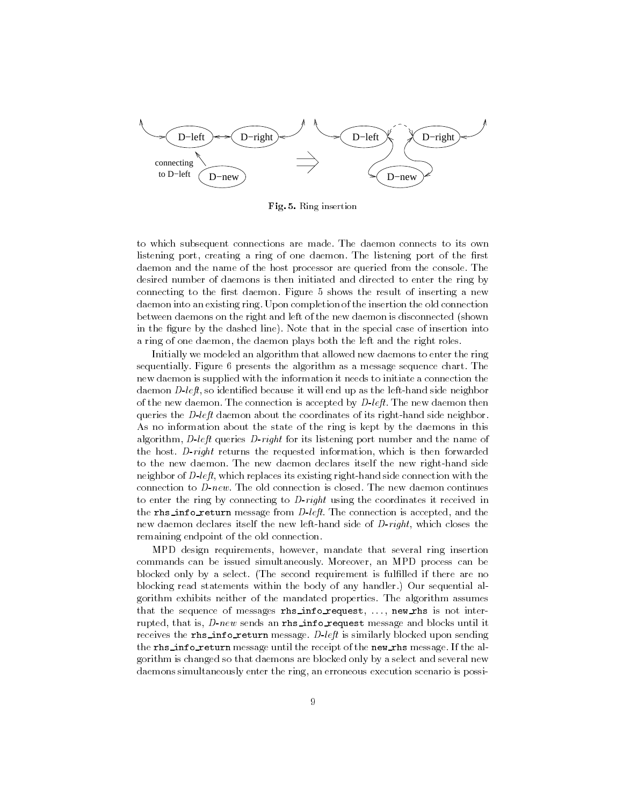

Fig. 5. Ring insertion

to which subsequent connections are made. The daemon connects to its own listening port, creating a ring of one daemon. The listening port of the first daemon and the name of the host processor are queried from the console. The desired number of daemons is then initiated and directed to enter the ring by connecting to the first daemon. Figure 5 shows the result of inserting a new daemon into an existing ring. Upon completion of the insertion the old connection between daemons on the right and left of the new daemon is disconnected (shown in the figure by the dashed line). Note that in the special case of insertion into a ring of one daemon, the daemon plays both the left and the right roles.

Initially we modeled an algorithm that allowed new daemons to enter the ring sequentially. Figure 6 presents the algorithm as a message sequence chart. The new daemon is supplied with the information it needs to initiate a connection the daemon D-left, so identified because it will end up as the left-hand side neighbor of the new daemon. The connection is accepted by  $D$ -left. The new daemon then queries the *D-left* daemon about the coordinates of its right-hand side neighbor. As no information about the state of the ring is kept by the daemons in this algorithm, D-left queries D-right for its listening port number and the name of the host. D-right returns the requested information, which is then forwarded to the new daemon. The new daemon declares itself the new right-hand side neighbor of D-left, which replaces its existing right-hand side connection with the connection to  $D\text{-}new$ . The old connection is closed. The new daemon continues to enter the ring by connecting to D-right using the coordinates it received in the rhs\_info\_return message from  $D$ -left. The connection is accepted, and the new daemon declares itself the new left-hand side of D-right, which closes the remaining endpoint of the old connection.

MPD design requirements, however, mandate that several ring insertion commands can be issued simultaneously. Moreover, an MPD process can be blocked only by a select. (The second requirement is fullled if there are no blocking read statements within the body of any handler.) Our sequential algorithm exhibits neither of the mandated properties. The algorithm assumes that the sequence of messages rhs\_info\_request, ..., new\_rhs is not interrupted, that is,  $D$ -new sends an rhs\_info\_request message and blocks until it receives the rhs\_info\_return message.  $D$ -left is similarly blocked upon sending the rhs\_info\_return message until the receipt of the new\_rhs message. If the algorithm is changed so that daemons are blocked only by a select and several new daemons simultaneously enter the ring, an erroneous execution scenario is possi-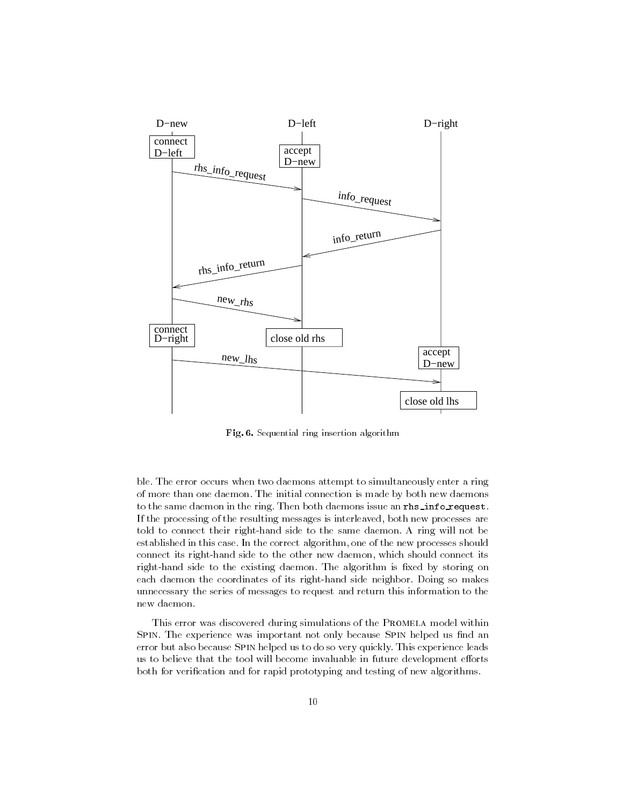

Fig. 6. Sequential ring insertion algorithm

ble. The error occurs when two daemons attempt to simultaneously enter a ring of more than one daemon. The initial connection is made by both new daemons to the same daemon in the ring. Then both daemons issue an rhs\_info\_request. If the processing of the resulting messages is interleaved, both new processes are told to connect their right-hand side to the same daemon. A ring will not be established in this case. In the correct algorithm, one of the new processes should connect its right-hand side to the other new daemon, which should connect its right-hand side to the existing daemon. The algorithm is fixed by storing on each daemon the coordinates of its right-hand side neighbor. Doing so makes unnecessary the series of messages to request and return this information to the new daemon.

This error was discovered during simulations of the PROMELA model within SPIN. The experience was important not only because SPIN helped us find an error but also because Spin helped us to do so very quickly. This experience leads us to believe that the tool will become invaluable in future development efforts both for verication and for rapid prototyping and testing of new algorithms.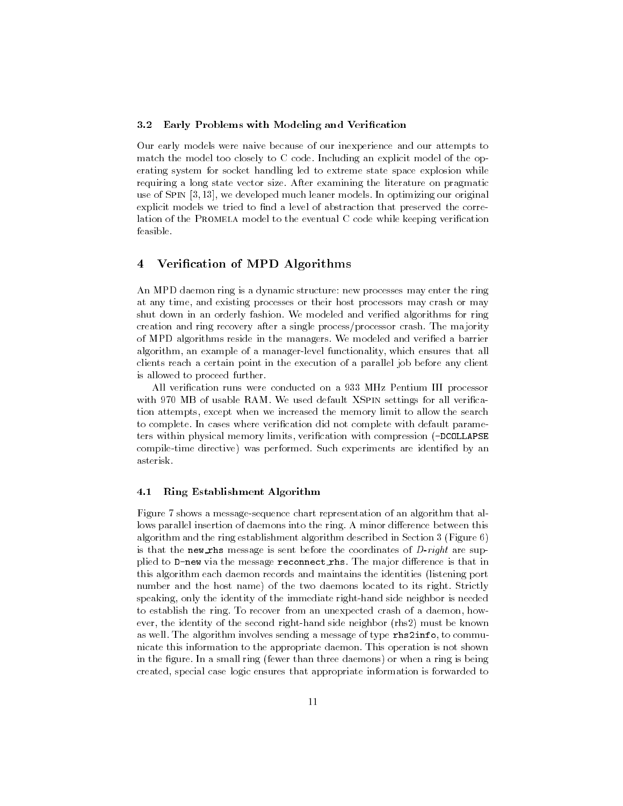### 3.2 Early Problems with Modeling and Verification

Our early models were naive because of our inexperience and our attempts to match the model too closely to C code. Including an explicit model of the operating system for socket handling led to extreme state space explosion while requiring a long state vector size. After examining the literature on pragmatic use of SPIN [3, 13], we developed much leaner models. In optimizing our original explicit models we tried to find a level of abstraction that preserved the correlation of the PROMELA model to the eventual  $C$  code while keeping verification feasible.

# 4 Verication of MPD Algorithms

An MPD daemon ring is a dynamic structure: new processes may enter the ring at any time, and existing processes or their host processors may crash or may shut down in an orderly fashion. We modeled and veried algorithms for ring creation and ring recovery after a single process/processor crash. The majority of MPD algorithms reside in the managers. We modeled and verified a barrier algorithm, an example of a manager-level functionality, which ensures that all clients reach a certain point in the execution of a parallel job before any client is allowed to proceed further.

All verication runs were conducted on a 933 MHz Pentium III processor with 970 MB of usable RAM. We used default XSPIN settings for all verification attempts, except when we increased the memory limit to allow the search to complete. In cases where verication did not complete with default parameters within physical memory limits, verification with compression (-DCOLLAPSE compile-time directive) was performed. Such experiments are identied by an asterisk.

### 4.1 Ring Establishment Algorithm

Figure 7 shows a message-sequence chart representation of an algorithm that allows parallel insertion of daemons into the ring. A minor difference between this algorithm and the ring establishment algorithm described in Section 3 (Figure 6) is that the new rhs message is sent before the coordinates of  $D$ -right are supplied to  $D$ -new via the message reconnect rhs. The major difference is that in this algorithm each daemon records and maintains the identities (listening port number and the host name) of the two daemons located to its right. Strictly speaking, only the identity of the immediate right-hand side neighbor is needed to establish the ring. To recover from an unexpected crash of a daemon, however, the identity of the second right-hand side neighbor (rhs2) must be known as well. The algorithm involves sending a message of type rhs2info, to communicate this information to the appropriate daemon. This operation is not shown in the figure. In a small ring (fewer than three daemons) or when a ring is being created, special case logic ensures that appropriate information is forwarded to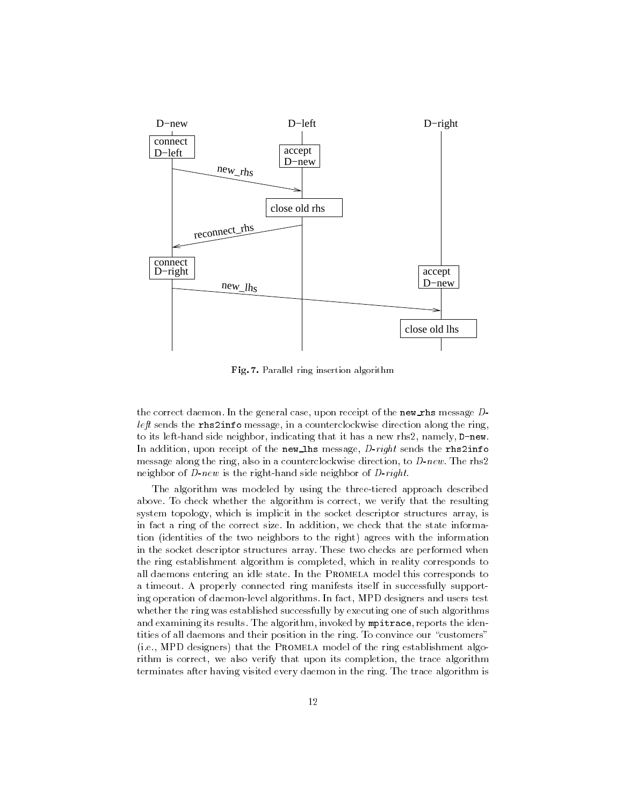

Fig. 7. Parallel ring insertion algorithm

the correct daemon. In the general case, upon receipt of the new rhs message  $D$ left sends the rhs2info message, in a counterclockwise direction along the ring, to its left-hand side neighbor, indicating that it has a new rhs2, namely, D-new. In addition, upon receipt of the new lhs message,  $D$ -right sends the rhs2info message along the ring, also in a counterclockwise direction, to  $D$ -new. The rhs2 neighbor of  $D$ -new is the right-hand side neighbor of  $D$ -right.

The algorithm was modeled by using the three-tiered approach described above. To check whether the algorithm is correct, we verify that the resulting system topology, which is implicit in the socket descriptor structures array, is in fact a ring of the correct size. In addition, we check that the state information (identities of the two neighbors to the right) agrees with the information in the socket descriptor structures array. These two checks are performed when the ring establishment algorithm is completed, which in reality corresponds to all daemons entering an idle state. In the Promela model this corresponds to a timeout. A properly connected ring manifests itself in successfully supporting operation of daemon-level algorithms. In fact, MPD designers and users test whether the ring was established successfully by executing one of such algorithms and examining its results. The algorithm, invoked by mpitrace, reports the identities of all daemons and their position in the ring. To convince our "customers" (i.e., MPD designers) that the Promela model of the ring establishment algorithm is correct, we also verify that upon its completion, the trace algorithm terminates after having visited every daemon in the ring. The trace algorithm is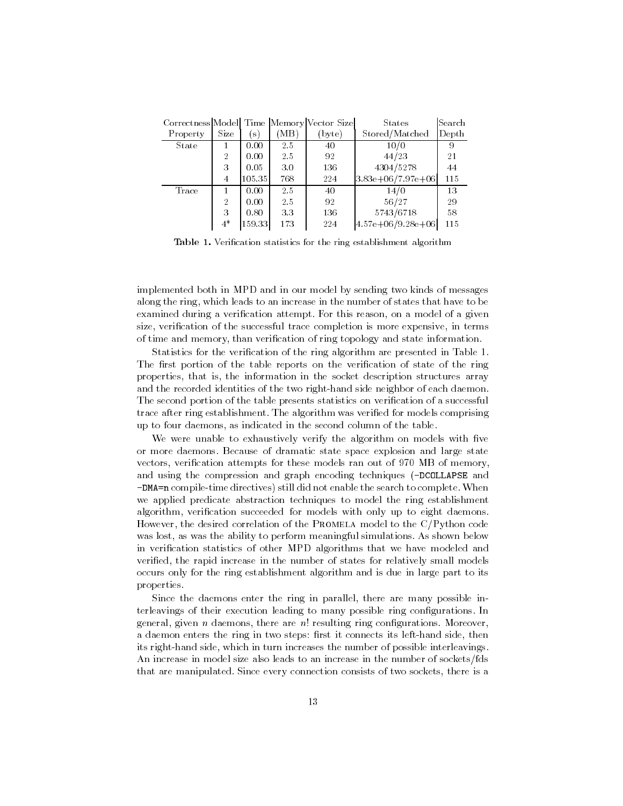| Correctness Model Time Memory Vector Size |                |              |      |        | States              | Search |
|-------------------------------------------|----------------|--------------|------|--------|---------------------|--------|
| Property                                  | Size           | $\mathbf{s}$ | (MB) | (byte) | Stored/Matched      | Depth  |
| State                                     |                | 0.00         | 2.5  | 40     | 10/0                | 9      |
|                                           | $\overline{2}$ | 0.00         | 2.5  | 92     | 44/23               | 21     |
|                                           | 3              | 0.05         | 3.0  | 136    | 4304/5278           | 44     |
|                                           | 4              | 105.35       | 768  | 224    | $3.83e+06/7.97e+06$ | 115    |
| Trace                                     |                | 0.00         | 2.5  | 40     | 14/0                | 13     |
|                                           | $\overline{2}$ | 0.00         | 2.5  | 92     | 56/27               | 29     |
|                                           | 3              | 0.80         | 3.3  | 136    | 5743/6718           | 58     |
|                                           | $4*$           | 159.33       | 173  | 224    | $4.57e+06/9.28e+06$ | 115    |

Table 1. Verification statistics for the ring establishment algorithm

implemented both in MPD and in our model by sending two kinds of messages along the ring, which leads to an increase in the number of states that have to be examined during a verification attempt. For this reason, on a model of a given size, verification of the successful trace completion is more expensive, in terms of time and memory, than verication of ring topology and state information.

Statistics for the verification of the ring algorithm are presented in Table 1. The first portion of the table reports on the verification of state of the ring properties, that is, the information in the socket description structures array and the recorded identities of the two right-hand side neighbor of each daemon. The second portion of the table presents statistics on verification of a successful trace after ring establishment. The algorithm was veried for models comprising up to four daemons, as indicated in the second column of the table.

We were unable to exhaustively verify the algorithm on models with five or more daemons. Because of dramatic state space explosion and large state vectors, verification attempts for these models ran out of 970 MB of memory, and using the compression and graph encoding techniques (-DCOLLAPSE and -DMA=n compile-time directives) still did not enable the search to complete. When we applied predicate abstraction techniques to model the ring establishment algorithm, verification succeeded for models with only up to eight daemons. However, the desired correlation of the PROMELA model to the C/Python code was lost, as was the ability to perform meaningful simulations. As shown below in verification statistics of other MPD algorithms that we have modeled and veried, the rapid increase in the number of states for relatively small models occurs only for the ring establishment algorithm and is due in large part to its properties.

Since the daemons enter the ring in parallel, there are many possible interleavings of their execution leading to many possible ring configurations. In general, given  $n$  daemons, there are  $n!$  resulting ring configurations. Moreover, a daemon enters the ring in two steps: first it connects its left-hand side, then its right-hand side, which in turn increases the number of possible interleavings. An increase in model size also leads to an increase in the number of sockets/fds that are manipulated. Since every connection consists of two sockets, there is a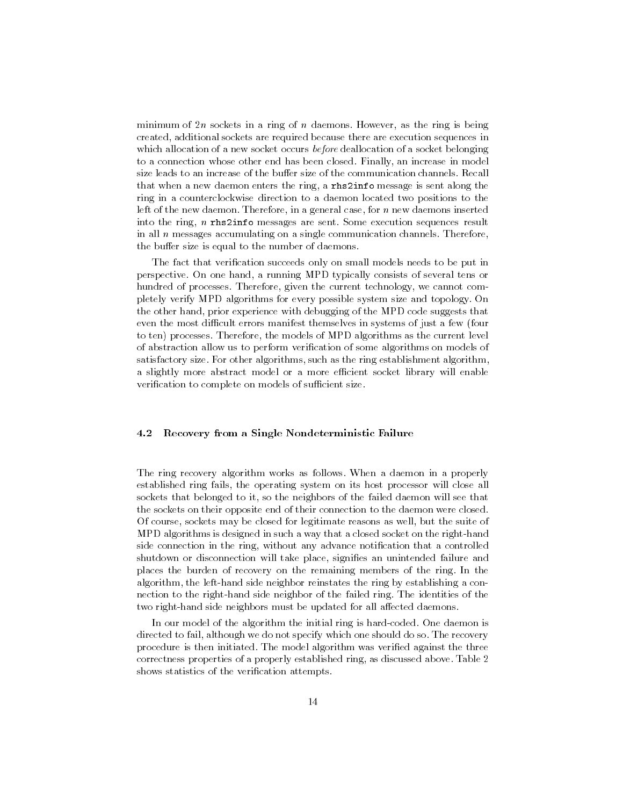minimum of  $2n$  sockets in a ring of n daemons. However, as the ring is being created, additional sockets are required because there are execution sequences in which allocation of a new socket occurs *before* deallocation of a socket belonging to a connection whose other end has been closed. Finally, an increase in model size leads to an increase of the buffer size of the communication channels. Recall that when a new daemon enters the ring, a rhs2info message is sent along the ring in a counterclockwise direction to a daemon located two positions to the left of the new daemon. Therefore, in a general case, for <sup>n</sup> new daemons inserted into the ring, <sup>n</sup> rhs2info messages are sent. Some execution sequences result in all  $n$  messages accumulating on a single communication channels. Therefore, the buffer size is equal to the number of daemons.

The fact that verification succeeds only on small models needs to be put in perspective. On one hand, a running MPD typically consists of several tens or hundred of processes. Therefore, given the current technology, we cannot completely verify MPD algorithms for every possible system size and topology. On the other hand, prior experience with debugging of the MPD code suggests that even the most difficult errors manifest themselves in systems of just a few (four to ten) processes. Therefore, the models of MPD algorithms as the current level of abstraction allow us to perform verification of some algorithms on models of satisfactory size. For other algorithms, such as the ring establishment algorithm, a slightly more abstract model or a more efficient socket library will enable verification to complete on models of sufficient size.

#### $4.2$ Recovery from a Single Nondeterministic Failure

The ring recovery algorithm works as follows. When a daemon in a properly established ring fails, the operating system on its host processor will close all sockets that belonged to it, so the neighbors of the failed daemon will see that the sockets on their opposite end of their connection to the daemon were closed. Of course, sockets may be closed for legitimate reasons as well, but the suite of MPD algorithms is designed in suchaway that a closed socket on the right-hand side connection in the ring, without any advance notification that a controlled shutdown or disconnection will take place, signifies an unintended failure and places the burden of recovery on the remaining members of the ring. In the algorithm, the left-hand side neighbor reinstates the ring by establishing a connection to the right-hand side neighbor of the failed ring. The identities of the two right-hand side neighbors must be updated for all affected daemons.

In our model of the algorithm the initial ring is hard-coded. One daemon is directed to fail, although we do not specify which one should do so. The recovery procedure is then initiated. The model algorithm was veried against the three correctness properties of a properly established ring, as discussed above. Table 2 shows statistics of the verification attempts.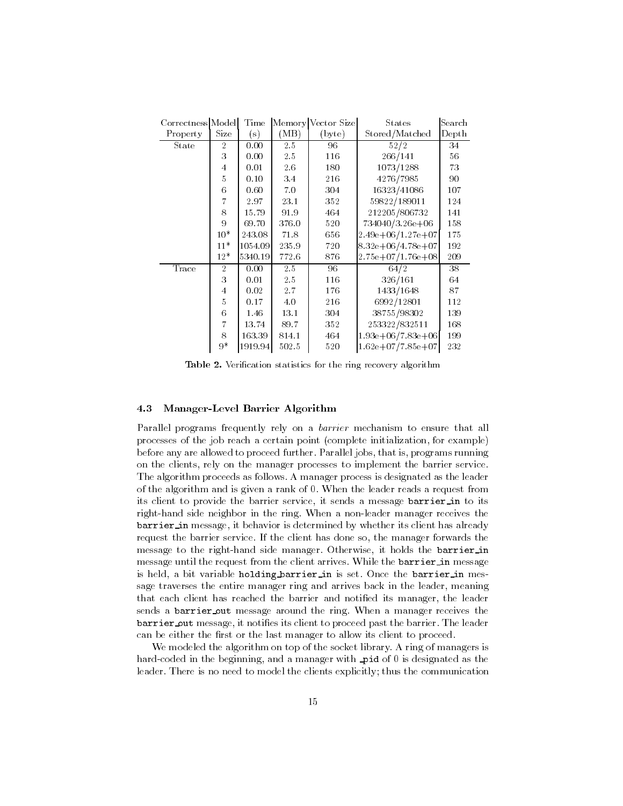| Correctness Model |                | Time          |       | Memory Vector Size | <b>States</b>           | Search |
|-------------------|----------------|---------------|-------|--------------------|-------------------------|--------|
| Property          | Size           | $\mathbf{s})$ | (MB)  | (byte)             | Stored/Matched          | Depth  |
| State             | $\overline{2}$ | 0.00          | 2.5   | 96                 | 52/2                    | 34     |
|                   | 3              | 0.00          | 2.5   | 116                | 266/141                 | 56     |
|                   | $\overline{4}$ | 0.01          | 2.6   | 180                | 1073/1288               | 73     |
|                   | 5              | 0.10          | 3.4   | 216                | 4276/7985               | 90     |
|                   | 6              | 0.60          | 7.0   | 304                | 16323/41086             | 107    |
|                   | $\overline{7}$ | 2.97          | 23.1  | 352                | 59822/189011            | 124    |
|                   | 8              | 15.79         | 91.9  | 464                | 212205/806732           | 141    |
|                   | 9              | 69.70         | 376.0 | 520                | 734040/3.26e+06         | 158    |
|                   | $10*$          | 243.08        | 71.8  | 656                | $2.49e + 06/1.27e + 07$ | 175    |
|                   | $11*$          | 1054.09       | 235.9 | 720                | $8.32e + 06/4.78e + 07$ | 192    |
|                   | $12*$          | 5340.19       | 772.6 | 876                | $2.75e+07/1.76e+08$     | 209    |
| Trace             | $\overline{2}$ | 0.00          | 2.5   | 96                 | 64/2                    | 38     |
|                   | 3              | 0.01          | 2.5   | 116                | 326/161                 | 64     |
|                   | $\overline{4}$ | 0.02          | 2.7   | 176                | 1433/1648               | 87     |
|                   | 5              | 0.17          | 4.0   | 216                | 6992/12801              | 112    |
|                   | 6              | 1.46          | 13.1  | 304                | 38755/98302             | 139    |
|                   | $\overline{7}$ | 13.74         | 89.7  | 352                | 253322/832511           | 168    |
|                   | 8              | 163.39        | 814.1 | 464                | $1.93e+06/7.83e+06$     | 199    |
|                   | $9*$           | 1919.94       | 502.5 | 520                | $1.62e+07/7.85e+07$     | 232    |

Table 2. Verification statistics for the ring recovery algorithm

# 4.3 Manager-Level Barrier Algorithm

Parallel programs frequently rely on a *barrier* mechanism to ensure that all processes of the job reach a certain point (complete initialization, for example) before any are allowed to proceed further. Parallel jobs, that is, programs running on the clients, rely on the manager processes to implement the barrier service. The algorithm proceeds as follows. A manager process is designated as the leader of the algorithm and is given a rank of 0. When the leader reads a request from its client to provide the barrier service, it sends a message barrier in to its right-hand side neighbor in the ring. When a non-leader manager receives the barrier in message, it behavior is determined by whether its client has already request the barrier service. If the client has done so, the manager forwards the message to the right-hand side manager. Otherwise, it holds the barrier in message until the request from the client arrives. While the barrier in message is held, a bit variable holding barrier in is set. Once the barrier in message traverses the entire manager ring and arrives back in the leader, meaning that each client has reached the barrier and notified its manager, the leader sends a barrier out message around the ring. When a manager receives the barrier out message, it noties its client to proceed past the barrier. The leader can be either the first or the last manager to allow its client to proceed.

We modeled the algorithm on top of the socket library. A ring of managers is hard-coded in the beginning, and a manager with pid of 0 is designated as the leader. There is no need to model the clients explicitly; thus the communication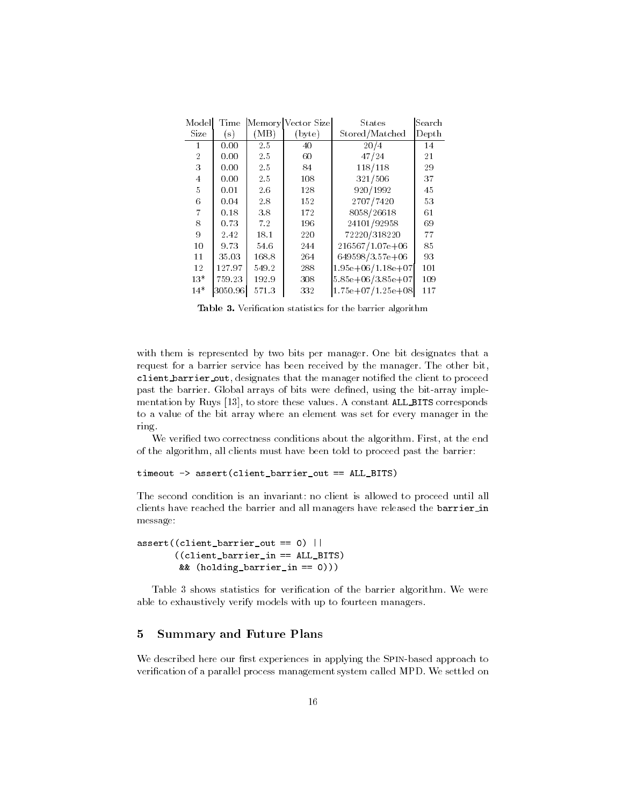| Model          | Time           |       | Memory Vector Size | <b>States</b>           | Search |
|----------------|----------------|-------|--------------------|-------------------------|--------|
| Size           | $(\mathbf{s})$ | `MB)  | (byte)             | Stored/Matched          | Depth  |
| 1              | 0.00           | 2.5   | 40                 | 20/4                    | 14     |
| $\overline{2}$ | 0.00           | 2.5   | 60                 | 47/24                   | 21     |
| 3              | 0.00           | 2.5   | 84                 | 118/118                 | 29     |
| 4              | 0.00           | 2.5   | 108                | 321/506                 | 37     |
| 5              | 0.01           | 2.6   | 128                | 920/1992                | 45     |
| 6              | 0.04           | 2.8   | 152                | 2707/7420               | 53     |
| $\overline{7}$ | 0.18           | 3.8   | 172                | 8058/26618              | 61     |
| 8              | 0.73           | 7.2   | 196                | 24101/92958             | 69     |
| 9              | 2.42           | 18.1  | 220                | 72220/318220            | 77     |
| 10             | 9.73           | 54.6  | 244                | $216567/1.07e+06$       | 85     |
| 11             | 35.03          | 168.8 | 264                | 649598/3.57e+06         | 93     |
| 12             | 127.97         | 549.2 | 288                | $1.95e+06/1.18e+07$     | 101    |
| $13*$          | 759.23         | 192.9 | 308                | $5.85e + 06/3.85e + 07$ | 109    |
| $14*$          | 3050.96        | 571.3 | 332                | $1.75e+07/1.25e+08$     | 117    |

Table 3. Verification statistics for the barrier algorithm

with them is represented by two bits per manager. One bit designates that a request for a barrier service has been received by the manager. The other bit, client barrier out, designates that the manager notified the client to proceed past the barrier. Global arrays of bits were defined, using the bit-array implementation by Ruys [13], to store these values. A constant ALL BITS corresponds to a value of the bit array where an element was set for every manager in the ring.

We verified two correctness conditions about the algorithm. First, at the end of the algorithm, all clients must have been told to proceed past the barrier:

```
timeout \rightarrow assert(client barrier out == ALL_BITS)
```
The second condition is an invariant: no client is allowed to proceed until all clients have reached the barrier and all managers have released the barrier in message:

```
assert((client_barrier_out == 0) ||
       ((client_barrier_in == ALL_BITS)
        && (holding barrier in == 0)))
```
Table 3 shows statistics for verification of the barrier algorithm. We were able to exhaustively verify models with up to fourteen managers.

# 5 Summary and Future Plans

We described here our first experiences in applying the SPIN-based approach to verification of a parallel process management system called MPD. We settled on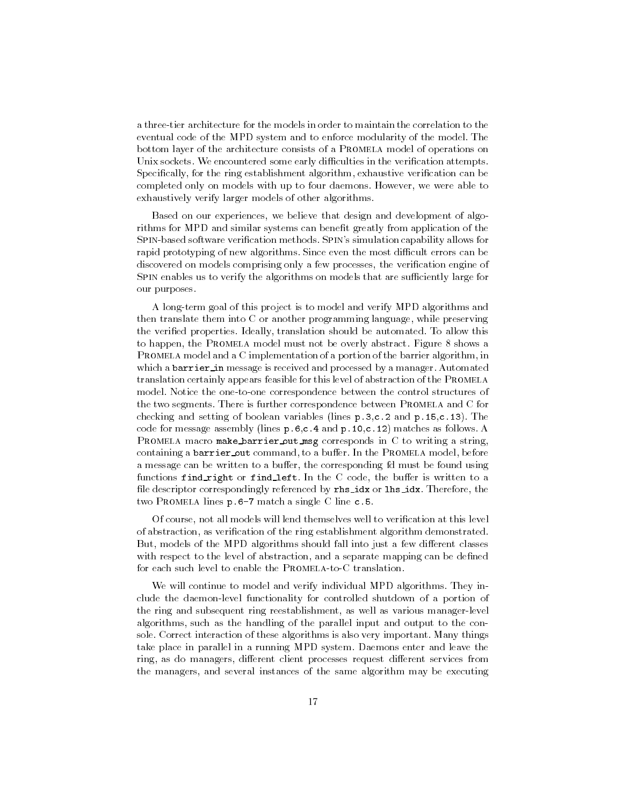a three-tier architecture for the models in order to maintain the correlation to the eventual code of the MPD system and to enforce modularity of the model. The bottom layer of the architecture consists of a Promela model of operations on Unix sockets. We encountered some early difficulties in the verification attempts. Specifically, for the ring establishment algorithm, exhaustive verification can be completed only on models with up to four daemons. However, we were able to exhaustively verify larger models of other algorithms.

Based on our experiences, we believe that design and development of algorithms for MPD and similar systems can benefit greatly from application of the Spin-based software verication methods. Spin's simulation capability allows for rapid prototyping of new algorithms. Since even the most difficult errors can be discovered on models comprising only a few processes, the verification engine of SPIN enables us to verify the algorithms on models that are sufficiently large for our purposes.

A long-term goal of this project is to model and verify MPD algorithms and then translate them into C or another programming language, while preserving the veried properties. Ideally, translation should be automated. To allow this to happen, the Promela model must not be overly abstract. Figure 8 shows a PROMELA model and a C implementation of a portion of the barrier algorithm, in which a barrier in message is received and processed by a manager. Automated translation certainly appears feasible for this level of abstraction of the Promela model. Notice the one-to-one correspondence between the control structures of the two segments. There is further correspondence between PROMELA and C for checking and setting of boolean variables (lines p.3,c.2 and p.15,c.13). The code for message assembly (lines p.6,c.4 and p.10,c.12) matches as follows. A PROMELA macro make barrier out msg corresponds in C to writing a string, containing a barrier out command, to a buffer. In the PROMELA model, before a message can be written to a buffer, the corresponding fd must be found using functions find right or find left. In the C code, the buffer is written to a file descriptor correspondingly referenced by rhs\_idx or lhs\_idx. Therefore, the two PROMELA lines p.6-7 match a single C line c.5.

Of course, not all models will lend themselves well to verication at this level of abstraction, as verication of the ring establishment algorithm demonstrated. But, models of the MPD algorithms should fall into just a few different classes with respect to the level of abstraction, and a separate mapping can be defined for each such level to enable the PROMELA-to-C translation.

We will continue to model and verify individual MPD algorithms. They include the daemon-level functionality for controlled shutdown of a portion of the ring and subsequent ring reestablishment, as well as various manager-level algorithms, such as the handling of the parallel input and output to the console. Correct interaction of these algorithms is also very important. Many things take place in parallel in a running MPD system. Daemons enter and leave the ring, as do managers, different client processes request different services from the managers, and several instances of the same algorithm may be executing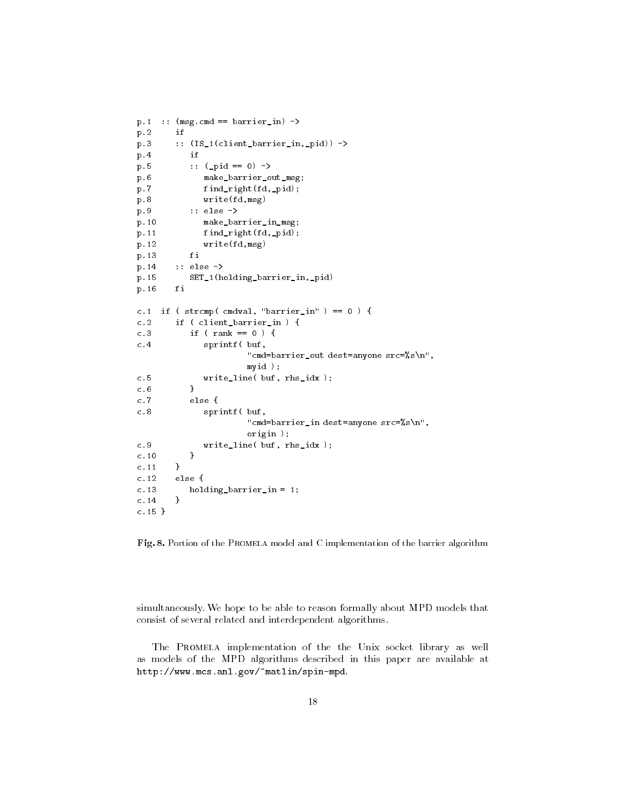```
p.1 :: (msg.cmd == barrier_in) ->
p.2 if
p.3 :: (IS_1(client_barrier_in,_pid)) ->
p.4 if
p.5 :: (_pid == 0) ->
p.6 make_barrier_out_msg;
p.7 find_right(fd,_pid);
p.8 write(fd,msg)
               :: else ->
p.9p.10 make_barrier_in_msg;
p.11 find_right(fd,_pid);
p.12 write(fd,msg)
p.13 fi
p.14 :: else ->
p.15 SET_1(holding_barrier_in,_pid)
p.16fi
          finds the contract of the contract of the contract of the contract of the contract of the contract of the contract of the contract of the contract of the contract of the contract of the contract of the contract of the cont
c.1 if ( strcmp( cmuval, "barrier_in" ) == 0 ) }
c.2 if ( client_barrier_in){
c.3if ( rank == 0 ) {
                    sprintf( buf,
c.4-1"cmd=barrier_out dest=anyone src=%s\n",myid );c.5 write_line( buf, rhs_idx );
c.6 }
c.7 else {
                   sprintf( buf,
\sim . \sim"cmd=barrier_in dest=anyone src=%s\n",origin ); write_line( buf, rhs_idx );
c.9c.10 }
c.11 }
c.12 else {
c.13 holding_barrier_in = 1;
c.14 }
c.15 }
```
Fig. 8. Portion of the PROMELA model and C implementation of the barrier algorithm

simultaneously. We hope to be able to reason formally about MPD models that consist of several related and interdependent algorithms.

The Promela implementation of the the Unix socket library as well as models of the MPD algorithms described in this paper are available at http://www.mcs.anl.gov/~matlin/spin-mpd.